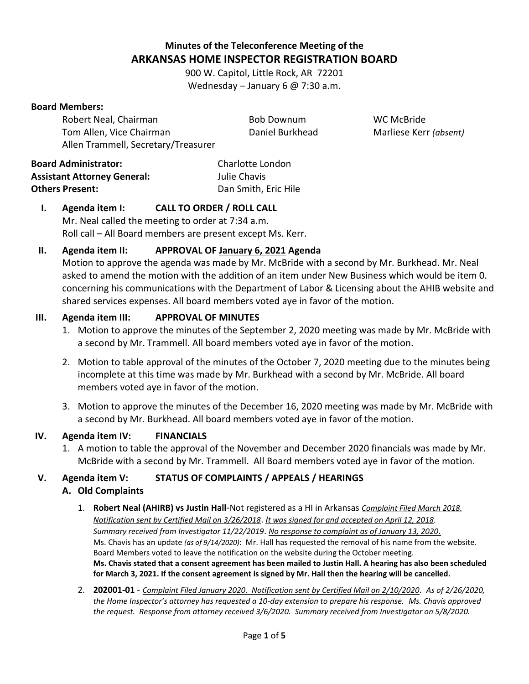# **Minutes of the Teleconference Meeting of the ARKANSAS HOME INSPECTOR REGISTRATION BOARD**

900 W. Capitol, Little Rock, AR 72201 Wednesday – January 6 @ 7:30 a.m.

#### **Board Members:**

| Robert Neal, Chairman               | Bob Downum       | WC McBride             |
|-------------------------------------|------------------|------------------------|
| Tom Allen, Vice Chairman            | Daniel Burkhead  | Marliese Kerr (absent) |
| Allen Trammell, Secretary/Treasurer |                  |                        |
| ırd Administrator:                  | Charlotte London |                        |

**Board Administrator:** Charlotte London **Assistant Attorney General:** Julie Chavis **Others Present:** Dan Smith, Eric Hile

### **I. Agenda item I: CALL TO ORDER / ROLL CALL** Mr. Neal called the meeting to order at 7:34 a.m. Roll call – All Board members are present except Ms. Kerr.

## **II. Agenda item II: APPROVAL OF January 6, 2021 Agenda**

Motion to approve the agenda was made by Mr. McBride with a second by Mr. Burkhead. Mr. Neal asked to amend the motion with the addition of an item under New Business which would be item 0. concerning his communications with the Department of Labor & Licensing about the AHIB website and shared services expenses. All board members voted aye in favor of the motion.

#### **III. Agenda item III: APPROVAL OF MINUTES**

- 1. Motion to approve the minutes of the September 2, 2020 meeting was made by Mr. McBride with a second by Mr. Trammell. All board members voted aye in favor of the motion.
- 2. Motion to table approval of the minutes of the October 7, 2020 meeting due to the minutes being incomplete at this time was made by Mr. Burkhead with a second by Mr. McBride. All board members voted aye in favor of the motion.
- 3. Motion to approve the minutes of the December 16, 2020 meeting was made by Mr. McBride with a second by Mr. Burkhead. All board members voted aye in favor of the motion.

### **IV. Agenda item IV: FINANCIALS**

1. A motion to table the approval of the November and December 2020 financials was made by Mr. McBride with a second by Mr. Trammell. All Board members voted aye in favor of the motion.

### **V. Agenda item V: STATUS OF COMPLAINTS / APPEALS / HEARINGS**

### **A. Old Complaints**

- 1. **Robert Neal (AHIRB) vs Justin Hall**-Not registered as a HI in Arkansas *Complaint Filed March 2018. Notification sent by Certified Mail on 3/26/2018*. *It was signed for and accepted on April 12, 2018. Summary received from Investigator 11/22/2019*. *No response to complaint as of January 13, 2020*. Ms. Chavis has an update *(as of 9/14/2020)*: Mr. Hall has requested the removal of his name from the website. Board Members voted to leave the notification on the website during the October meeting. **Ms. Chavis stated that a consent agreement has been mailed to Justin Hall. A hearing has also been scheduled for March 3, 2021. If the consent agreement is signed by Mr. Hall then the hearing will be cancelled.**
- 2. **202001-01** *Complaint Filed January 2020. Notification sent by Certified Mail on 2/10/2020*. *As of 2/26/2020, the Home Inspector's attorney has requested a 10-day extension to prepare his response. Ms. Chavis approved the request. Response from attorney received 3/6/2020. Summary received from Investigator on 5/8/2020.*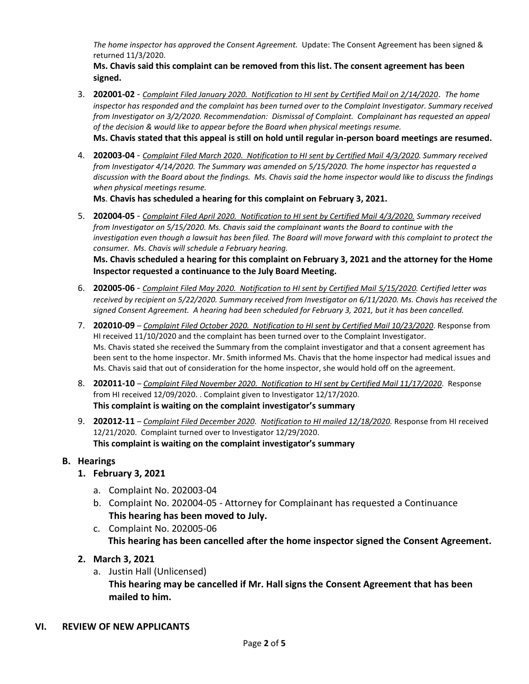*The home inspector has approved the Consent Agreement.* Update: The Consent Agreement has been signed & returned 11/3/2020.

**Ms. Chavis said this complaint can be removed from this list. The consent agreement has been signed.**

- 3. **202001-02** *Complaint Filed January 2020. Notification to HI sent by Certified Mail on 2/14/2020*. *The home inspector has responded and the complaint has been turned over to the Complaint Investigator. Summary received from Investigator on 3/2/2020. Recommendation: Dismissal of Complaint. Complainant has requested an appeal of the decision & would like to appear before the Board when physical meetings resume.* **Ms. Chavis stated that this appeal is still on hold until regular in-person board meetings are resumed.**
- 4. **202003-04** *Complaint Filed March 2020. Notification to HI sent by Certified Mail 4/3/2020. Summary received from Investigator 4/14/2020. The Summary was amended on 5/15/2020. The home inspector has requested a discussion with the Board about the findings. Ms. Chavis said the home inspector would like to discuss the findings when physical meetings resume.*

**Ms**. **Chavis has scheduled a hearing for this complaint on February 3, 2021.**

5. **202004-05** - *Complaint Filed April 2020. Notification to HI sent by Certified Mail 4/3/2020. Summary received from Investigator on 5/15/2020. Ms. Chavis said the complainant wants the Board to continue with the investigation even though a lawsuit has been filed. The Board will move forward with this complaint to protect the consumer. Ms. Chavis will schedule a February hearing.*

**Ms. Chavis scheduled a hearing for this complaint on February 3, 2021 and the attorney for the Home Inspector requested a continuance to the July Board Meeting.** 

- 6. **202005-06** *Complaint Filed May 2020. Notification to HI sent by Certified Mail 5/15/2020. Certified letter was received by recipient on 5/22/2020. Summary received from Investigator on 6/11/2020. Ms. Chavis has received the signed Consent Agreement. A hearing had been scheduled for February 3, 2021, but it has been cancelled.*
- 7. **202010-09** *Complaint Filed October 2020. Notification to HI sent by Certified Mail 10/23/2020*. Response from HI received 11/10/2020 and the complaint has been turned over to the Complaint Investigator. Ms. Chavis stated she received the Summary from the complaint investigator and that a consent agreement has been sent to the home inspector. Mr. Smith informed Ms. Chavis that the home inspector had medical issues and Ms. Chavis said that out of consideration for the home inspector, she would hold off on the agreement.
- 8. **202011-10** *Complaint Filed November 2020. Notification to HI sent by Certified Mail 11/17/2020*. Response from HI received 12/09/2020. . Complaint given to Investigator 12/17/2020. **This complaint is waiting on the complaint investigator's summary**
- 9. **202012-11** *Complaint Filed December 2020. Notification to HI mailed 12/18/2020.* Response from HI received 12/21/2020. Complaint turned over to Investigator 12/29/2020. **This complaint is waiting on the complaint investigator's summary**

#### **B. Hearings**

- **1. February 3, 2021** 
	- a. Complaint No. 202003-04
	- b. Complaint No. 202004-05 Attorney for Complainant has requested a Continuance **This hearing has been moved to July.**
	- c. Complaint No. 202005-06  **This hearing has been cancelled after the home inspector signed the Consent Agreement.**
- **2. March 3, 2021** 
	- a. Justin Hall (Unlicensed) **This hearing may be cancelled if Mr. Hall signs the Consent Agreement that has been mailed to him.**

#### **VI. REVIEW OF NEW APPLICANTS /**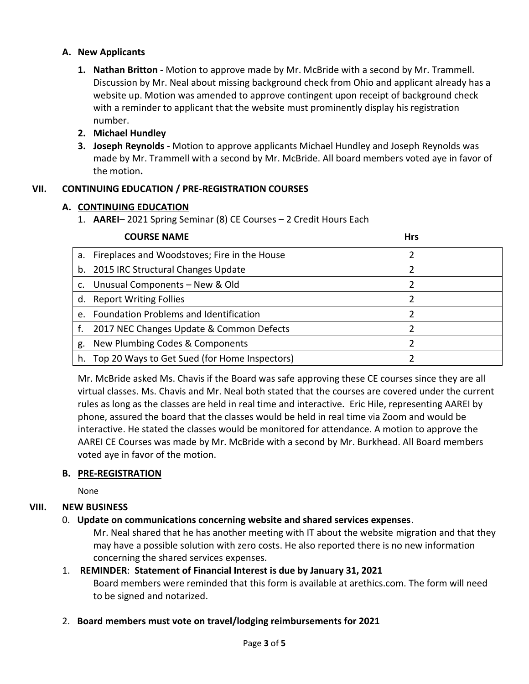### **A. New Applicants**

**1. Nathan Britton -** Motion to approve made by Mr. McBride with a second by Mr. Trammell. Discussion by Mr. Neal about missing background check from Ohio and applicant already has a website up. Motion was amended to approve contingent upon receipt of background check with a reminder to applicant that the website must prominently display his registration number.

### **2. Michael Hundley**

**3. Joseph Reynolds -** Motion to approve applicants Michael Hundley and Joseph Reynolds was made by Mr. Trammell with a second by Mr. McBride. All board members voted aye in favor of the motion**.**

### **VII. CONTINUING EDUCATION / PRE-REGISTRATION COURSES**

### **A. CONTINUING EDUCATION**

1. **AAREI**– 2021 Spring Seminar (8) CE Courses – 2 Credit Hours Each

|         | <b>COURSE NAME</b>                              | <b>Hrs</b> |
|---------|-------------------------------------------------|------------|
|         | a. Fireplaces and Woodstoves; Fire in the House |            |
|         | b. 2015 IRC Structural Changes Update           |            |
|         | c. Unusual Components - New & Old               |            |
|         | d. Report Writing Follies                       |            |
| $e_{1}$ | <b>Foundation Problems and Identification</b>   |            |
| f.      | 2017 NEC Changes Update & Common Defects        |            |
| g.      | New Plumbing Codes & Components                 |            |
| h.      | Top 20 Ways to Get Sued (for Home Inspectors)   |            |

Mr. McBride asked Ms. Chavis if the Board was safe approving these CE courses since they are all virtual classes. Ms. Chavis and Mr. Neal both stated that the courses are covered under the current rules as long as the classes are held in real time and interactive. Eric Hile, representing AAREI by phone, assured the board that the classes would be held in real time via Zoom and would be interactive. He stated the classes would be monitored for attendance. A motion to approve the AAREI CE Courses was made by Mr. McBride with a second by Mr. Burkhead. All Board members voted aye in favor of the motion.

### **B. PRE-REGISTRATION**

None

### **VIII. NEW BUSINESS**

### 0. **Update on communications concerning website and shared services expenses**.

Mr. Neal shared that he has another meeting with IT about the website migration and that they may have a possible solution with zero costs. He also reported there is no new information concerning the shared services expenses.

### 1. **REMINDER**: **Statement of Financial Interest is due by January 31, 2021**

Board members were reminded that this form is available at arethics.com. The form will need to be signed and notarized.

2. **Board members must vote on travel/lodging reimbursements for 2021**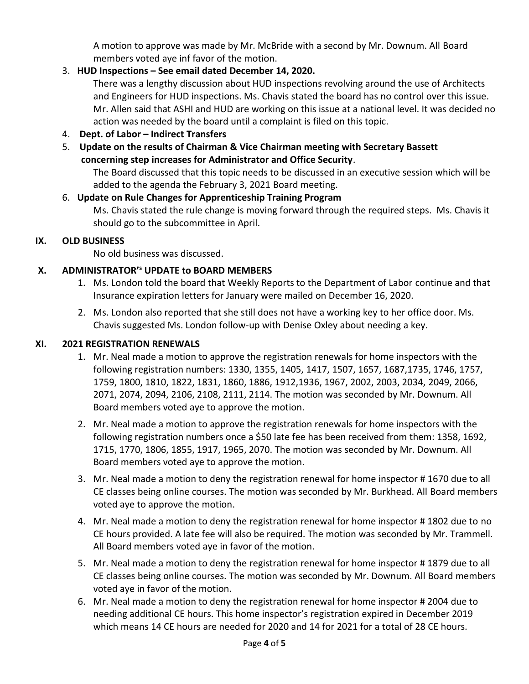A motion to approve was made by Mr. McBride with a second by Mr. Downum. All Board members voted aye inf favor of the motion.

## 3. **HUD Inspections – See email dated December 14, 2020.**

There was a lengthy discussion about HUD inspections revolving around the use of Architects and Engineers for HUD inspections. Ms. Chavis stated the board has no control over this issue. Mr. Allen said that ASHI and HUD are working on this issue at a national level. It was decided no action was needed by the board until a complaint is filed on this topic.

- 4. **Dept. of Labor – Indirect Transfers**
- 5. **Update on the results of Chairman & Vice Chairman meeting with Secretary Bassett concerning step increases for Administrator and Office Security**.

The Board discussed that this topic needs to be discussed in an executive session which will be added to the agenda the February 3, 2021 Board meeting.

# 6. **Update on Rule Changes for Apprenticeship Training Program** Ms. Chavis stated the rule change is moving forward through the required steps. Ms. Chavis it

should go to the subcommittee in April.

## **IX. OLD BUSINESS**

No old business was discussed.

## **X. ADMINISTRATOR'<sup>s</sup> UPDATE to BOARD MEMBERS**

- 1. Ms. London told the board that Weekly Reports to the Department of Labor continue and that Insurance expiration letters for January were mailed on December 16, 2020.
- 2. Ms. London also reported that she still does not have a working key to her office door. Ms. Chavis suggested Ms. London follow-up with Denise Oxley about needing a key.

## **XI. 2021 REGISTRATION RENEWALS**

- 1. Mr. Neal made a motion to approve the registration renewals for home inspectors with the following registration numbers: 1330, 1355, 1405, 1417, 1507, 1657, 1687,1735, 1746, 1757, 1759, 1800, 1810, 1822, 1831, 1860, 1886, 1912,1936, 1967, 2002, 2003, 2034, 2049, 2066, 2071, 2074, 2094, 2106, 2108, 2111, 2114. The motion was seconded by Mr. Downum. All Board members voted aye to approve the motion.
- 2. Mr. Neal made a motion to approve the registration renewals for home inspectors with the following registration numbers once a \$50 late fee has been received from them: 1358, 1692, 1715, 1770, 1806, 1855, 1917, 1965, 2070. The motion was seconded by Mr. Downum. All Board members voted aye to approve the motion.
- 3. Mr. Neal made a motion to deny the registration renewal for home inspector # 1670 due to all CE classes being online courses. The motion was seconded by Mr. Burkhead. All Board members voted aye to approve the motion.
- 4. Mr. Neal made a motion to deny the registration renewal for home inspector # 1802 due to no CE hours provided. A late fee will also be required. The motion was seconded by Mr. Trammell. All Board members voted aye in favor of the motion.
- 5. Mr. Neal made a motion to deny the registration renewal for home inspector # 1879 due to all CE classes being online courses. The motion was seconded by Mr. Downum. All Board members voted aye in favor of the motion.
- 6. Mr. Neal made a motion to deny the registration renewal for home inspector # 2004 due to needing additional CE hours. This home inspector's registration expired in December 2019 which means 14 CE hours are needed for 2020 and 14 for 2021 for a total of 28 CE hours.